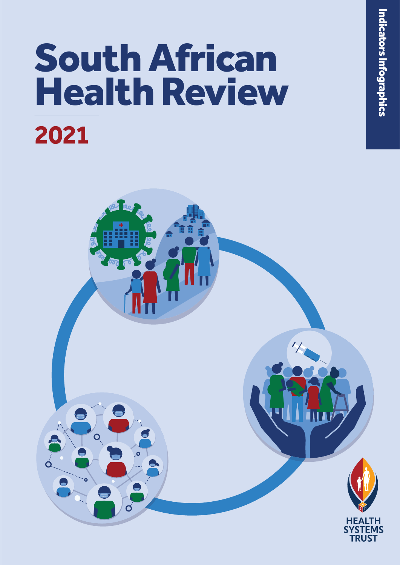# South African Health Review **2021**

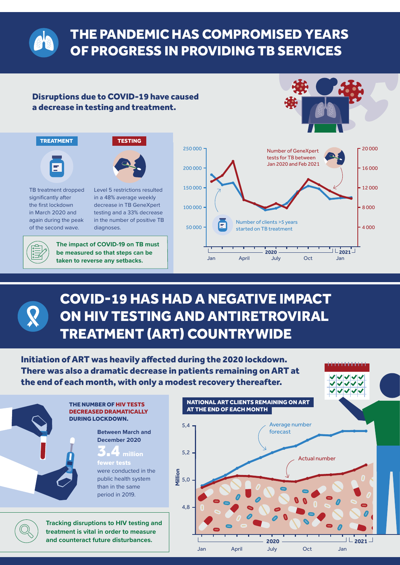

## THE PANDEMIC HAS COMPROMISED YEARS OF PROGRESS IN PROVIDING TB SERVICES

#### Disruptions due to COVID-19 have caused a decrease in testing and treatment.



فيناها والمناط والمناطن



TB treatment dropped significantly after the first lockdown in March 2020 and again during the peak of the second wave.

Level 5 restrictions resulted in a 48% average weekly decrease in TB GeneXpert testing and a 33% decrease in the number of positive TB diagnoses.

**The impact of COVID-19 on TB must be measured so that steps can be taken to reverse any setbacks.** 



# COVID-19 HAS HAD A NEGATIVE IMPACT ON HIV TESTING AND ANTIRETROVIRAL TREATMENT (ART) COUNTRYWIDE

Initiation of ART was heavily affected during the 2020 lockdown. There was also a dramatic decrease in patients remaining on ART at the end of each month, with only a modest recovery thereafter.



B *South African Health Review 2021*

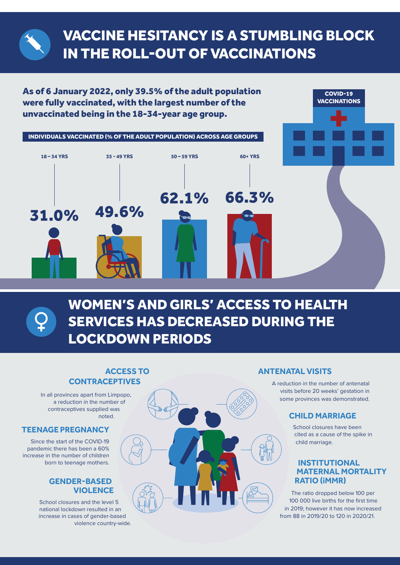# VACCINE HESITANCY IS A STUMBLING BLOCK IN THE ROLL-OUT OF VACCINATIONS

As of 6 January 2022, only 39.5% of the adult population were fully vaccinated, with the largest number of the unvaccinated being in the 18-34-year age group.



WOMEN'S AND GIRLS' ACCESS TO HEALTH SERVICES HAS DECREASED DURING THE LOCKDOWN PERIODS

# **ACCESS TO**

#### **ANTENATAL VISITS**

A reduction in the number of antenatal visits before 20 weeks' gestation in some provinces was demonstrated.

#### **CHILD MARRIAGE**

School closures have been cited as a cause of the spike in child marriage.

COVID-19 **VACCINATIONS** 

#### **INSTITUTIONAL MATERNAL MORTALITY RATIO (iMMR)**

The ratio dropped below 100 per 100 000 live births for the first time in 2019; however it has now increased from 88 in 2019/20 to 120 in 2020/21.

**CONTRACEPTIVES**

In all provinces apart from Limpopo, a reduction in the number of contraceptives supplied was noted.

#### **TEENAGE PREGNANCY**

Since the start of the COVID-19 pandemic there has been a 60% increase in the number of children born to teenage mothers.

#### **GENDER-BASED VIOLENCE**

School closures and the level 5 national lockdown resulted in an increase in cases of gender-based violence country-wide.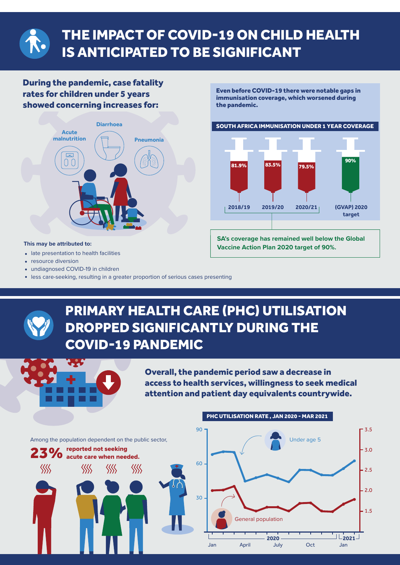

# THE IMPACT OF COVID-19 ON CHILD HEALTH IS ANTICIPATED TO BE SIGNIFICANT

#### During the pandemic, case fatality rates for children under 5 years showed concerning increases for:



#### **This may be attributed to:**

- late presentation to health facilities
- resource diversion
- undiagnosed COVID-19 in children
- less care-seeking, resulting in a greater proportion of serious cases presenting

#### Even before COVID-19 there were notable gaps in immunisation coverage, which worsened during the pandemic.





**SA's coverage has remained well below the Global Vaccine Action Plan 2020 target of 90%.**

#### PRIMARY HEALTH CARE (PHC) UTILISATION DROPPED SIGNIFICANTLY DURING THE COVID-19 PANDEMIC 6.25 Overall, the pandemic period saw a decrease in access to health services, willingness to seek medical attention and patient day equivalents countrywide. PHC UTILISATION RATE , JAN 2020 - MAR 2021 90  $\Gamma$  3.5 Under age 5 Among the population dependent on the public sector, 23% reported not seeking<br>23% acute care when needed. 3.0 60  $\langle\!\langle\!\langle\zeta$  $\left\langle\!\left\langle \right\rangle\!\right\rangle$ 巛 巛 2.5  $.2.0$ 30  $\cdot$  1.5 General population **2020 2021** Jan April July Oct Jan D *South African Health Review 2021*